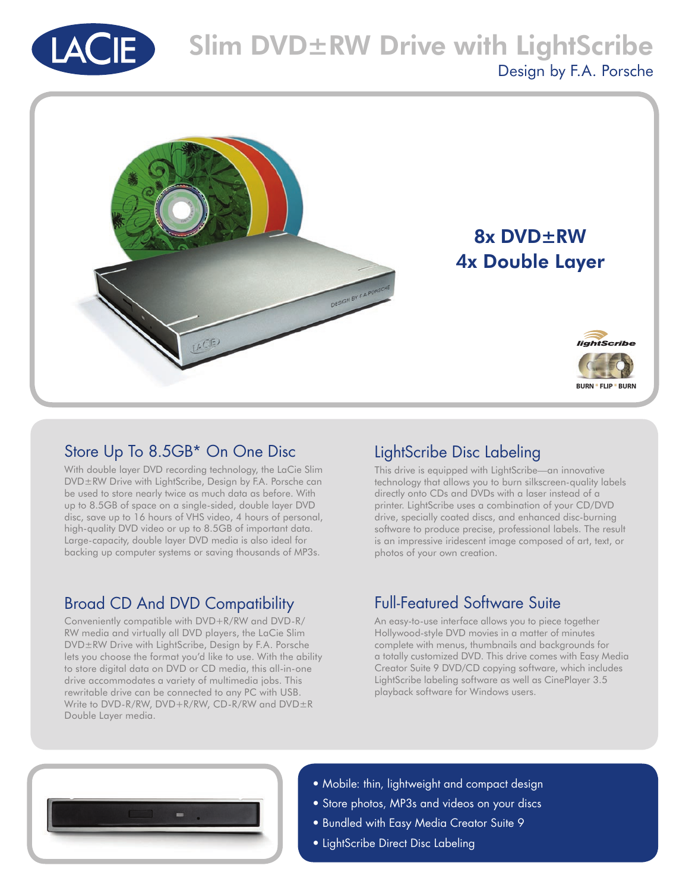



### Store Up To 8.5GB\* On One Disc

With double layer DVD recording technology, the LaCie Slim DVD±RW Drive with LightScribe, Design by F.A. Porsche can be used to store nearly twice as much data as before. With up to 8.5GB of space on a single-sided, double layer DVD disc, save up to 16 hours of VHS video, 4 hours of personal, high-quality DVD video or up to 8.5GB of important data. Large-capacity, double layer DVD media is also ideal for backing up computer systems or saving thousands of MP3s.

## Broad CD And DVD Compatibility

Conveniently compatible with DVD+R/RW and DVD-R/ RW media and virtually all DVD players, the LaCie Slim DVD±RW Drive with LightScribe, Design by F.A. Porsche lets you choose the format you'd like to use. With the ability to store digital data on DVD or CD media, this all-in-one drive accommodates a variety of multimedia jobs. This rewritable drive can be connected to any PC with USB. Write to DVD-R/RW, DVD+R/RW, CD-R/RW and DVD±R Double Layer media.

## LightScribe Disc Labeling

This drive is equipped with LightScribe—an innovative technology that allows you to burn silkscreen-quality labels directly onto CDs and DVDs with a laser instead of a printer. LightScribe uses a combination of your CD/DVD drive, specially coated discs, and enhanced disc-burning software to produce precise, professional labels. The result is an impressive iridescent image composed of art, text, or photos of your own creation.

# Full-Featured Software Suite

An easy-to-use interface allows you to piece together Hollywood-style DVD movies in a matter of minutes complete with menus, thumbnails and backgrounds for a totally customized DVD. This drive comes with Easy Media Creator Suite 9 DVD/CD copying software, which includes LightScribe labeling software as well as CinePlayer 3.5 playback software for Windows users.



- Mobile: thin, lightweight and compact design
- Store photos, MP3s and videos on your discs
- Bundled with Easy Media Creator Suite 9
- LightScribe Direct Disc Labeling